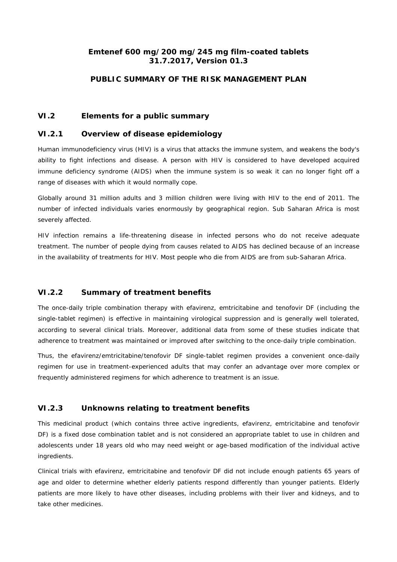## **Emtenef 600 mg/200 mg/245 mg film-coated tablets 31.7.2017, Version 01.3**

## **PUBLIC SUMMARY OF THE RISK MANAGEMENT PLAN**

### *VI.2 Elements for a public summary*

#### *VI.2.1 Overview of disease epidemiology*

Human immunodeficiency virus (HIV) is a virus that attacks the immune system, and weakens the body's ability to fight infections and disease. A person with HIV is considered to have developed acquired immune deficiency syndrome (AIDS) when the immune system is so weak it can no longer fight off a range of diseases with which it would normally cope.

Globally around 31 million adults and 3 million children were living with HIV to the end of 2011. The number of infected individuals varies enormously by geographical region. Sub Saharan Africa is most severely affected.

HIV infection remains a life-threatening disease in infected persons who do not receive adequate treatment. The number of people dying from causes related to AIDS has declined because of an increase in the availability of treatments for HIV. Most people who die from AIDS are from sub-Saharan Africa.

## *VI.2.2 Summary of treatment benefits*

The once-daily triple combination therapy with efavirenz, emtricitabine and tenofovir DF (including the single-tablet regimen) is effective in maintaining virological suppression and is generally well tolerated, according to several clinical trials. Moreover, additional data from some of these studies indicate that adherence to treatment was maintained or improved after switching to the once-daily triple combination.

Thus, the efavirenz/emtricitabine/tenofovir DF single-tablet regimen provides a convenient once-daily regimen for use in treatment-experienced adults that may confer an advantage over more complex or frequently administered regimens for which adherence to treatment is an issue.

## *VI.2.3 Unknowns relating to treatment benefits*

This medicinal product (which contains three active ingredients, efavirenz, emtricitabine and tenofovir DF) is a fixed dose combination tablet and is not considered an appropriate tablet to use in children and adolescents under 18 years old who may need weight or age-based modification of the individual active ingredients.

Clinical trials with efavirenz, emtricitabine and tenofovir DF did not include enough patients 65 years of age and older to determine whether elderly patients respond differently than younger patients. Elderly patients are more likely to have other diseases, including problems with their liver and kidneys, and to take other medicines.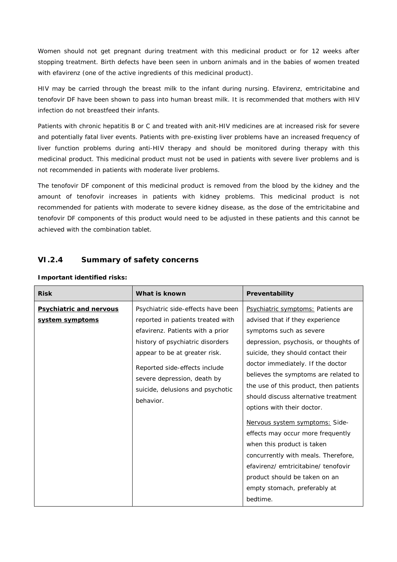Women should not get pregnant during treatment with this medicinal product or for 12 weeks after stopping treatment. Birth defects have been seen in unborn animals and in the babies of women treated with efavirenz (one of the active ingredients of this medicinal product).

HIV may be carried through the breast milk to the infant during nursing. Efavirenz, emtricitabine and tenofovir DF have been shown to pass into human breast milk. It is recommended that mothers with HIV infection do not breastfeed their infants.

Patients with chronic hepatitis B or C and treated with anit-HIV medicines are at increased risk for severe and potentially fatal liver events. Patients with pre-existing liver problems have an increased frequency of liver function problems during anti-HIV therapy and should be monitored during therapy with this medicinal product. This medicinal product must not be used in patients with severe liver problems and is not recommended in patients with moderate liver problems.

The tenofovir DF component of this medicinal product is removed from the blood by the kidney and the amount of tenofovir increases in patients with kidney problems. This medicinal product is not recommended for patients with moderate to severe kidney disease, as the dose of the emtricitabine and tenofovir DF components of this product would need to be adjusted in these patients and this cannot be achieved with the combination tablet.

## **VI.2.4 Summary of safety concerns**

| <b>Risk</b>                                       | What is known                                                                                                                                                                                                                                                                                     | Preventability                                                                                                                                                                                                                                                                                                                                                                                                                                                                                                                                                                                                                               |
|---------------------------------------------------|---------------------------------------------------------------------------------------------------------------------------------------------------------------------------------------------------------------------------------------------------------------------------------------------------|----------------------------------------------------------------------------------------------------------------------------------------------------------------------------------------------------------------------------------------------------------------------------------------------------------------------------------------------------------------------------------------------------------------------------------------------------------------------------------------------------------------------------------------------------------------------------------------------------------------------------------------------|
| <b>Psychiatric and nervous</b><br>system symptoms | Psychiatric side-effects have been<br>reported in patients treated with<br>efavirenz. Patients with a prior<br>history of psychiatric disorders<br>appear to be at greater risk.<br>Reported side-effects include<br>severe depression, death by<br>suicide, delusions and psychotic<br>behavior. | Psychiatric symptoms: Patients are<br>advised that if they experience<br>symptoms such as severe<br>depression, psychosis, or thoughts of<br>suicide, they should contact their<br>doctor immediately. If the doctor<br>believes the symptoms are related to<br>the use of this product, then patients<br>should discuss alternative treatment<br>options with their doctor.<br>Nervous system symptoms: Side-<br>effects may occur more frequently<br>when this product is taken<br>concurrently with meals. Therefore,<br>efavirenz/ emtricitabine/ tenofovir<br>product should be taken on an<br>empty stomach, preferably at<br>bedtime. |

#### **Important identified risks:**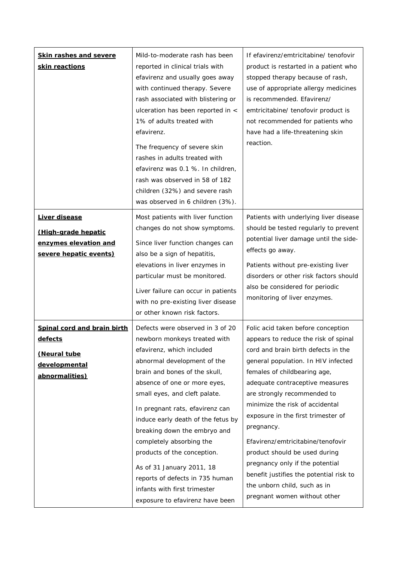| <b>Skin rashes and severe</b><br>skin reactions                                                  | Mild-to-moderate rash has been<br>reported in clinical trials with<br>efavirenz and usually goes away<br>with continued therapy. Severe<br>rash associated with blistering or<br>ulceration has been reported in <<br>1% of adults treated with<br>efavirenz.<br>The frequency of severe skin<br>rashes in adults treated with<br>efavirenz was 0.1 %. In children,<br>rash was observed in 58 of 182<br>children (32%) and severe rash<br>was observed in 6 children (3%).                                                           | If efavirenz/emtricitabine/ tenofovir<br>product is restarted in a patient who<br>stopped therapy because of rash,<br>use of appropriate allergy medicines<br>is recommended. Efavirenz/<br>emtricitabine/ tenofovir product is<br>not recommended for patients who<br>have had a life-threatening skin<br>reaction.                                                                                                                                                                                                                                                  |
|--------------------------------------------------------------------------------------------------|---------------------------------------------------------------------------------------------------------------------------------------------------------------------------------------------------------------------------------------------------------------------------------------------------------------------------------------------------------------------------------------------------------------------------------------------------------------------------------------------------------------------------------------|-----------------------------------------------------------------------------------------------------------------------------------------------------------------------------------------------------------------------------------------------------------------------------------------------------------------------------------------------------------------------------------------------------------------------------------------------------------------------------------------------------------------------------------------------------------------------|
| Liver disease<br>(High-grade hepatic<br>enzymes elevation and<br>severe hepatic events)          | Most patients with liver function<br>changes do not show symptoms.<br>Since liver function changes can<br>also be a sign of hepatitis,<br>elevations in liver enzymes in<br>particular must be monitored.<br>Liver failure can occur in patients<br>with no pre-existing liver disease<br>or other known risk factors.                                                                                                                                                                                                                | Patients with underlying liver disease<br>should be tested regularly to prevent<br>potential liver damage until the side-<br>effects go away.<br>Patients without pre-existing liver<br>disorders or other risk factors should<br>also be considered for periodic<br>monitoring of liver enzymes.                                                                                                                                                                                                                                                                     |
| Spinal cord and brain birth<br><u>defects</u><br>(Neural tube<br>developmental<br>abnormalities) | Defects were observed in 3 of 20<br>newborn monkeys treated with<br>efavirenz, which included<br>abnormal development of the<br>brain and bones of the skull,<br>absence of one or more eyes,<br>small eyes, and cleft palate.<br>In pregnant rats, efavirenz can<br>induce early death of the fetus by<br>breaking down the embryo and<br>completely absorbing the<br>products of the conception.<br>As of 31 January 2011, 18<br>reports of defects in 735 human<br>infants with first trimester<br>exposure to efavirenz have been | Folic acid taken before conception<br>appears to reduce the risk of spinal<br>cord and brain birth defects in the<br>general population. In HIV infected<br>females of childbearing age,<br>adequate contraceptive measures<br>are strongly recommended to<br>minimize the risk of accidental<br>exposure in the first trimester of<br>pregnancy.<br>Efavirenz/emtricitabine/tenofovir<br>product should be used during<br>pregnancy only if the potential<br>benefit justifies the potential risk to<br>the unborn child, such as in<br>pregnant women without other |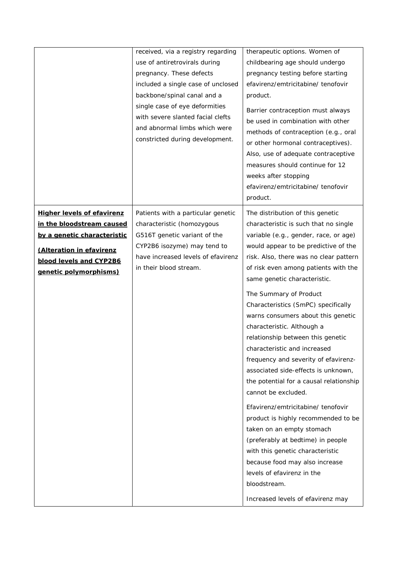|                                                                                                                                                                                       | received, via a registry regarding<br>use of antiretrovirals during<br>pregnancy. These defects<br>included a single case of unclosed<br>backbone/spinal canal and a<br>single case of eye deformities<br>with severe slanted facial clefts<br>and abnormal limbs which were<br>constricted during development. | therapeutic options. Women of<br>childbearing age should undergo<br>pregnancy testing before starting<br>efavirenz/emtricitabine/ tenofovir<br>product.<br>Barrier contraception must always<br>be used in combination with other<br>methods of contraception (e.g., oral<br>or other hormonal contraceptives).<br>Also, use of adequate contraceptive<br>measures should continue for 12<br>weeks after stopping<br>efavirenz/emtricitabine/ tenofovir                                                                                                                                                                                                                                                                                                                                                                                                                                                                                                     |
|---------------------------------------------------------------------------------------------------------------------------------------------------------------------------------------|-----------------------------------------------------------------------------------------------------------------------------------------------------------------------------------------------------------------------------------------------------------------------------------------------------------------|-------------------------------------------------------------------------------------------------------------------------------------------------------------------------------------------------------------------------------------------------------------------------------------------------------------------------------------------------------------------------------------------------------------------------------------------------------------------------------------------------------------------------------------------------------------------------------------------------------------------------------------------------------------------------------------------------------------------------------------------------------------------------------------------------------------------------------------------------------------------------------------------------------------------------------------------------------------|
| <b>Higher levels of efavirenz</b><br>in the bloodstream caused<br>by a genetic characteristic<br>(Alteration in efavirenz<br><b>blood levels and CYP2B6</b><br>genetic polymorphisms) | Patients with a particular genetic<br>characteristic (homozygous<br>G516T genetic variant of the<br>CYP2B6 isozyme) may tend to<br>have increased levels of efavirenz<br>in their blood stream.                                                                                                                 | product.<br>The distribution of this genetic<br>characteristic is such that no single<br>variable (e.g., gender, race, or age)<br>would appear to be predictive of the<br>risk. Also, there was no clear pattern<br>of risk even among patients with the<br>same genetic characteristic.<br>The Summary of Product<br>Characteristics (SmPC) specifically<br>warns consumers about this genetic<br>characteristic. Although a<br>relationship between this genetic<br>characteristic and increased<br>frequency and severity of efavirenz-<br>associated side-effects is unknown,<br>the potential for a causal relationship<br>cannot be excluded.<br>Efavirenz/emtricitabine/ tenofovir<br>product is highly recommended to be<br>taken on an empty stomach<br>(preferably at bedtime) in people<br>with this genetic characteristic<br>because food may also increase<br>levels of efavirenz in the<br>bloodstream.<br>Increased levels of efavirenz may |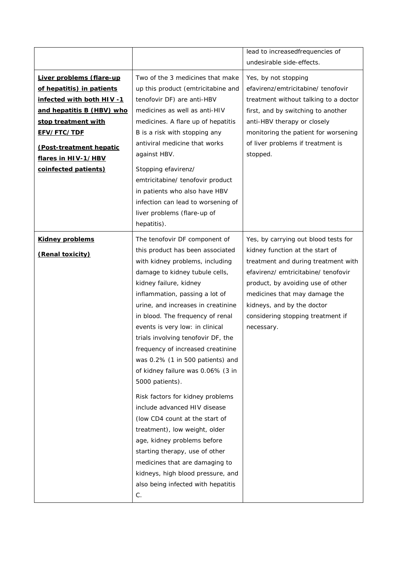|                                  |                                    | lead to increasedfrequencies of<br>undesirable side-effects. |
|----------------------------------|------------------------------------|--------------------------------------------------------------|
|                                  |                                    |                                                              |
| Liver problems (flare-up         | Two of the 3 medicines that make   | Yes, by not stopping                                         |
| of hepatitis) in patients        | up this product (emtricitabine and | efavirenz/emtricitabine/ tenofovir                           |
| <u>infected with both HIV -1</u> | tenofovir DF) are anti-HBV         | treatment without talking to a doctor                        |
| and hepatitis B (HBV) who        | medicines as well as anti-HIV      | first, and by switching to another                           |
| stop treatment with              | medicines. A flare up of hepatitis | anti-HBV therapy or closely                                  |
| <u>EFV/FTC/TDF</u>               | B is a risk with stopping any      | monitoring the patient for worsening                         |
| (Post-treatment hepatic          | antiviral medicine that works      | of liver problems if treatment is                            |
| <u>flares in HIV-1/HBV</u>       | against HBV.                       | stopped.                                                     |
| coinfected patients)             | Stopping efavirenz/                |                                                              |
|                                  | emtricitabine/ tenofovir product   |                                                              |
|                                  | in patients who also have HBV      |                                                              |
|                                  | infection can lead to worsening of |                                                              |
|                                  | liver problems (flare-up of        |                                                              |
|                                  | hepatitis).                        |                                                              |
|                                  |                                    |                                                              |
| <b>Kidney problems</b>           | The tenofovir DF component of      | Yes, by carrying out blood tests for                         |
| (Renal toxicity)                 | this product has been associated   | kidney function at the start of                              |
|                                  | with kidney problems, including    | treatment and during treatment with                          |
|                                  | damage to kidney tubule cells,     | efavirenz/ emtricitabine/ tenofovir                          |
|                                  | kidney failure, kidney             | product, by avoiding use of other                            |
|                                  | inflammation, passing a lot of     | medicines that may damage the                                |
|                                  | urine, and increases in creatinine | kidneys, and by the doctor                                   |
|                                  | in blood. The frequency of renal   | considering stopping treatment if                            |
|                                  | events is very low: in clinical    | necessary.                                                   |
|                                  | trials involving tenofovir DF, the |                                                              |
|                                  | frequency of increased creatinine  |                                                              |
|                                  | was 0.2% (1 in 500 patients) and   |                                                              |
|                                  | of kidney failure was 0.06% (3 in  |                                                              |
|                                  | 5000 patients).                    |                                                              |
|                                  | Risk factors for kidney problems   |                                                              |
|                                  | include advanced HIV disease       |                                                              |
|                                  | (low CD4 count at the start of     |                                                              |
|                                  | treatment), low weight, older      |                                                              |
|                                  |                                    |                                                              |
|                                  | age, kidney problems before        |                                                              |
|                                  | starting therapy, use of other     |                                                              |
|                                  | medicines that are damaging to     |                                                              |
|                                  | kidneys, high blood pressure, and  |                                                              |
|                                  | also being infected with hepatitis |                                                              |
|                                  | С.                                 |                                                              |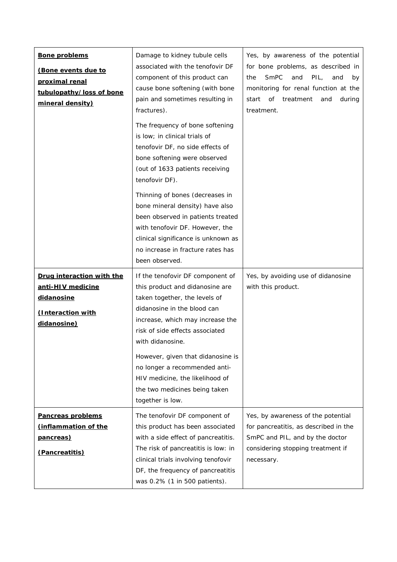| <b>Bone problems</b><br>(Bone events due to<br>proximal renal<br>tubulopathy/loss of bone<br>mineral density) | Damage to kidney tubule cells<br>associated with the tenofovir DF<br>component of this product can<br>cause bone softening (with bone<br>pain and sometimes resulting in<br>fractures).<br>The frequency of bone softening<br>is low; in clinical trials of<br>tenofovir DF, no side effects of<br>bone softening were observed<br>(out of 1633 patients receiving<br>tenofovir DF).         | Yes, by awareness of the potential<br>for bone problems, as described in<br>SmPC<br>PIL,<br>and<br>and<br>the<br>by<br>monitoring for renal function at the<br>of<br>treatment<br>start<br>and<br>during<br>treatment. |
|---------------------------------------------------------------------------------------------------------------|----------------------------------------------------------------------------------------------------------------------------------------------------------------------------------------------------------------------------------------------------------------------------------------------------------------------------------------------------------------------------------------------|------------------------------------------------------------------------------------------------------------------------------------------------------------------------------------------------------------------------|
|                                                                                                               | Thinning of bones (decreases in<br>bone mineral density) have also<br>been observed in patients treated<br>with tenofovir DF. However, the<br>clinical significance is unknown as<br>no increase in fracture rates has<br>been observed.                                                                                                                                                     |                                                                                                                                                                                                                        |
| <b>Drug interaction with the</b><br>anti-HIV medicine<br>didanosine<br>(Interaction with<br>didanosine)       | If the tenofovir DF component of<br>this product and didanosine are<br>taken together, the levels of<br>didanosine in the blood can<br>increase, which may increase the<br>risk of side effects associated<br>with didanosine.<br>However, given that didanosine is<br>no longer a recommended anti-<br>HIV medicine, the likelihood of<br>the two medicines being taken<br>together is low. | Yes, by avoiding use of didanosine<br>with this product.                                                                                                                                                               |
| <b>Pancreas problems</b><br>(inflammation of the<br><u>pancreas)</u><br>(Pancreatitis)                        | The tenofovir DF component of<br>this product has been associated<br>with a side effect of pancreatitis.<br>The risk of pancreatitis is low: in<br>clinical trials involving tenofovir<br>DF, the frequency of pancreatitis<br>was 0.2% (1 in 500 patients).                                                                                                                                 | Yes, by awareness of the potential<br>for pancreatitis, as described in the<br>SmPC and PIL, and by the doctor<br>considering stopping treatment if<br>necessary.                                                      |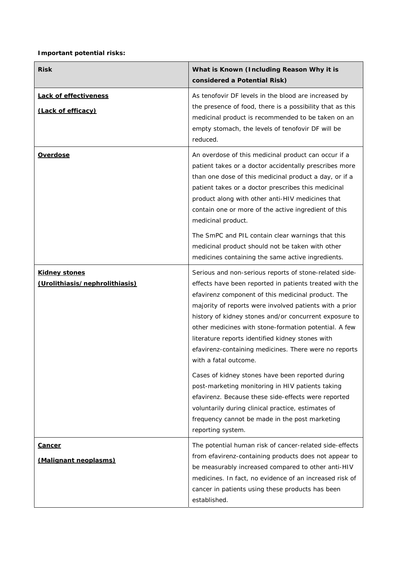# **Important potential risks:**

| <b>Risk</b>                                            | What is Known (Including Reason Why it is<br>considered a Potential Risk)                                                                                                                                                                                                                                                                                                                                                                                                                                                                                                                                                                                                                                                                                                               |
|--------------------------------------------------------|-----------------------------------------------------------------------------------------------------------------------------------------------------------------------------------------------------------------------------------------------------------------------------------------------------------------------------------------------------------------------------------------------------------------------------------------------------------------------------------------------------------------------------------------------------------------------------------------------------------------------------------------------------------------------------------------------------------------------------------------------------------------------------------------|
| <b>Lack of effectiveness</b><br>(Lack of efficacy)     | As tenofovir DF levels in the blood are increased by<br>the presence of food, there is a possibility that as this<br>medicinal product is recommended to be taken on an<br>empty stomach, the levels of tenofovir DF will be<br>reduced.                                                                                                                                                                                                                                                                                                                                                                                                                                                                                                                                                |
| <u>Overdose</u>                                        | An overdose of this medicinal product can occur if a<br>patient takes or a doctor accidentally prescribes more<br>than one dose of this medicinal product a day, or if a<br>patient takes or a doctor prescribes this medicinal<br>product along with other anti-HIV medicines that<br>contain one or more of the active ingredient of this<br>medicinal product.                                                                                                                                                                                                                                                                                                                                                                                                                       |
|                                                        | The SmPC and PIL contain clear warnings that this<br>medicinal product should not be taken with other<br>medicines containing the same active ingredients.                                                                                                                                                                                                                                                                                                                                                                                                                                                                                                                                                                                                                              |
| <u>Kidney stones</u><br>(Urolithiasis/nephrolithiasis) | Serious and non-serious reports of stone-related side-<br>effects have been reported in patients treated with the<br>efavirenz component of this medicinal product. The<br>majority of reports were involved patients with a prior<br>history of kidney stones and/or concurrent exposure to<br>other medicines with stone-formation potential. A few<br>literature reports identified kidney stones with<br>efavirenz-containing medicines. There were no reports<br>with a fatal outcome.<br>Cases of kidney stones have been reported during<br>post-marketing monitoring in HIV patients taking<br>efavirenz. Because these side-effects were reported<br>voluntarily during clinical practice, estimates of<br>frequency cannot be made in the post marketing<br>reporting system. |
| <u>Cancer</u><br>(Malignant neoplasms)                 | The potential human risk of cancer-related side-effects<br>from efavirenz-containing products does not appear to<br>be measurably increased compared to other anti-HIV<br>medicines. In fact, no evidence of an increased risk of<br>cancer in patients using these products has been<br>established.                                                                                                                                                                                                                                                                                                                                                                                                                                                                                   |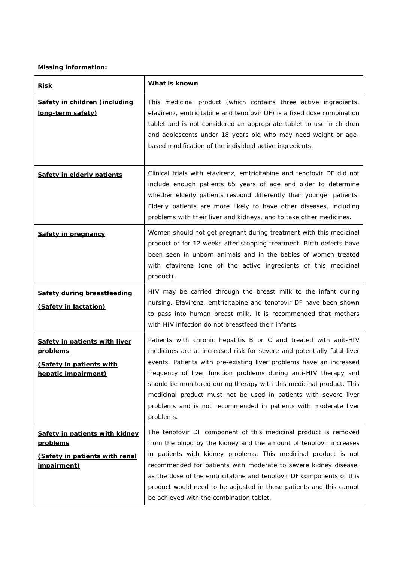# **Missing information:**

| <b>Risk</b>                                                                                                      | What is known                                                                                                                                                                                                                                                                                                                                                                                                                                                                                                     |
|------------------------------------------------------------------------------------------------------------------|-------------------------------------------------------------------------------------------------------------------------------------------------------------------------------------------------------------------------------------------------------------------------------------------------------------------------------------------------------------------------------------------------------------------------------------------------------------------------------------------------------------------|
| <u>Safety in children (including</u><br><u>long-term safety)</u>                                                 | This medicinal product (which contains three active ingredients,<br>efavirenz, emtricitabine and tenofovir DF) is a fixed dose combination<br>tablet and is not considered an appropriate tablet to use in children<br>and adolescents under 18 years old who may need weight or age-<br>based modification of the individual active ingredients.                                                                                                                                                                 |
| <b>Safety in elderly patients</b>                                                                                | Clinical trials with efavirenz, emtricitabine and tenofovir DF did not<br>include enough patients 65 years of age and older to determine<br>whether elderly patients respond differently than younger patients.<br>Elderly patients are more likely to have other diseases, including<br>problems with their liver and kidneys, and to take other medicines.                                                                                                                                                      |
| <b>Safety in pregnancy</b>                                                                                       | Women should not get pregnant during treatment with this medicinal<br>product or for 12 weeks after stopping treatment. Birth defects have<br>been seen in unborn animals and in the babies of women treated<br>with efavirenz (one of the active ingredients of this medicinal<br>product).                                                                                                                                                                                                                      |
| Safety during breastfeeding<br>(Safety in lactation)                                                             | HIV may be carried through the breast milk to the infant during<br>nursing. Efavirenz, emtricitabine and tenofovir DF have been shown<br>to pass into human breast milk. It is recommended that mothers<br>with HIV infection do not breastfeed their infants.                                                                                                                                                                                                                                                    |
| Safety in patients with liver<br><b>problems</b><br>(Safety in patients with<br>hepatic impairment)              | Patients with chronic hepatitis B or C and treated with anit-HIV<br>medicines are at increased risk for severe and potentially fatal liver<br>events. Patients with pre-existing liver problems have an increased<br>frequency of liver function problems during anti-HIV therapy and<br>should be monitored during therapy with this medicinal product. This<br>medicinal product must not be used in patients with severe liver<br>problems and is not recommended in patients with moderate liver<br>problems. |
| <b>Safety in patients with kidney</b><br><u>problems</u><br>(Safety in patients with renal<br><u>impairment)</u> | The tenofovir DF component of this medicinal product is removed<br>from the blood by the kidney and the amount of tenofovir increases<br>in patients with kidney problems. This medicinal product is not<br>recommended for patients with moderate to severe kidney disease,<br>as the dose of the emtricitabine and tenofovir DF components of this<br>product would need to be adjusted in these patients and this cannot<br>be achieved with the combination tablet.                                           |